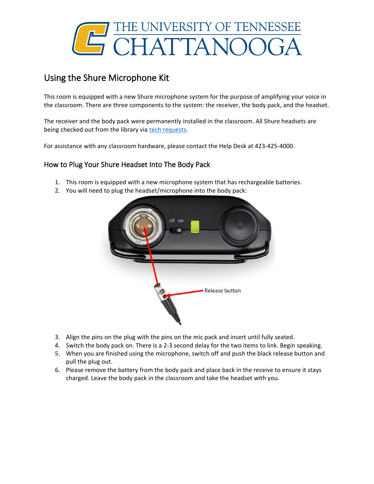

## Using the Shure Microphone Kit

This room is equipped with a new Shure microphone system for the purpose of amplifying your voice in the classroom. There are three components to the system: the receiver, the body pack, and the headset.

The receiver and the body pack were permanently installed in the classroom. All Shure headsets are being checked out from the library via [tech requests.](https://new.utc.edu/information-technology/technology-resources-for-employees)

For assistance with any classroom hardware, please contact the Help Desk at 423-425-4000.

## How to Plug Your Shure Headset Into The Body Pack

- 1. This room is equipped with a new microphone system that has rechargeable batteries.
- 2. You will need to plug the headset/microphone into the body pack:



- 3. Align the pins on the plug with the pins on the mic pack and insert until fully seated.
- 4. Switch the body pack on. There is a 2-3 second delay for the two items to link. Begin speaking.
- 5. When you are finished using the microphone, switch off and push the black release button and pull the plug out.
- 6. Please remove the battery from the body pack and place back in the receive to ensure it stays charged. Leave the body pack in the classroom and take the headset with you.